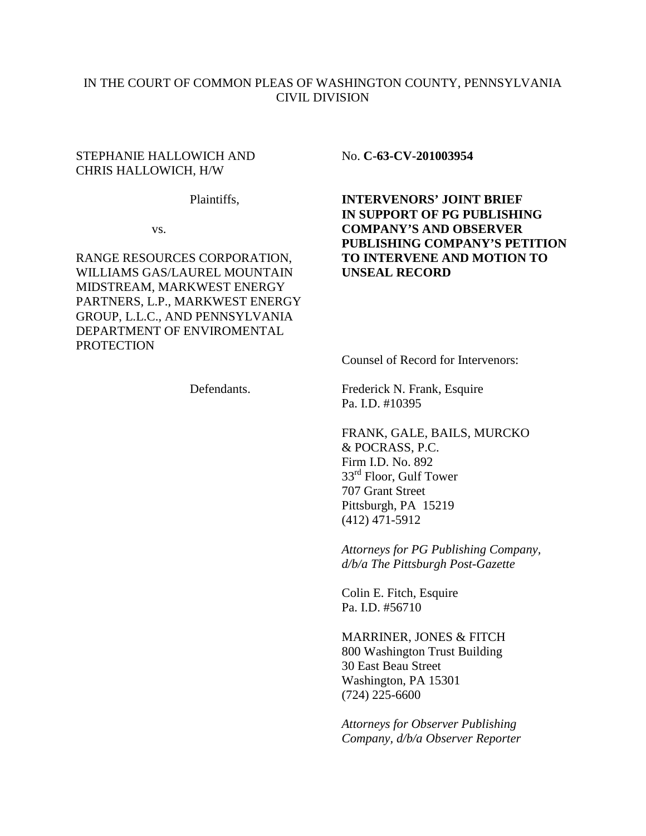## IN THE COURT OF COMMON PLEAS OF WASHINGTON COUNTY, PENNSYLVANIA CIVIL DIVISION

#### STEPHANIE HALLOWICH AND No. C-63-CV-201003954 CHRIS HALLOWICH, H/W

WILLIAMS GAS/LAUREL MOUNTAIN **UNSEAL RECORD**  MIDSTREAM, MARKWEST ENERGY PARTNERS, L.P., MARKWEST ENERGY GROUP, L.L.C., AND PENNSYLVANIA DEPARTMENT OF ENVIROMENTAL **PROTECTION** 

 Plaintiffs, **INTERVENORS' JOINT BRIEF IN SUPPORT OF PG PUBLISHING**  vs. **COMPANY'S AND OBSERVER PUBLISHING COMPANY'S PETITION**  RANGE RESOURCES CORPORATION, **TO INTERVENE AND MOTION TO** 

Counsel of Record for Intervenors:

Defendants. Frederick N. Frank, Esquire Pa. I.D. #10395

> FRANK, GALE, BAILS, MURCKO & POCRASS, P.C. Firm I.D. No. 892 33<sup>rd</sup> Floor, Gulf Tower 707 Grant Street Pittsburgh, PA 15219 (412) 471-5912

 *Attorneys for PG Publishing Company, d/b/a The Pittsburgh Post-Gazette* 

 Colin E. Fitch, Esquire Pa. I.D. #56710

 MARRINER, JONES & FITCH 800 Washington Trust Building 30 East Beau Street Washington, PA 15301 (724) 225-6600

 *Attorneys for Observer Publishing Company, d/b/a Observer Reporter*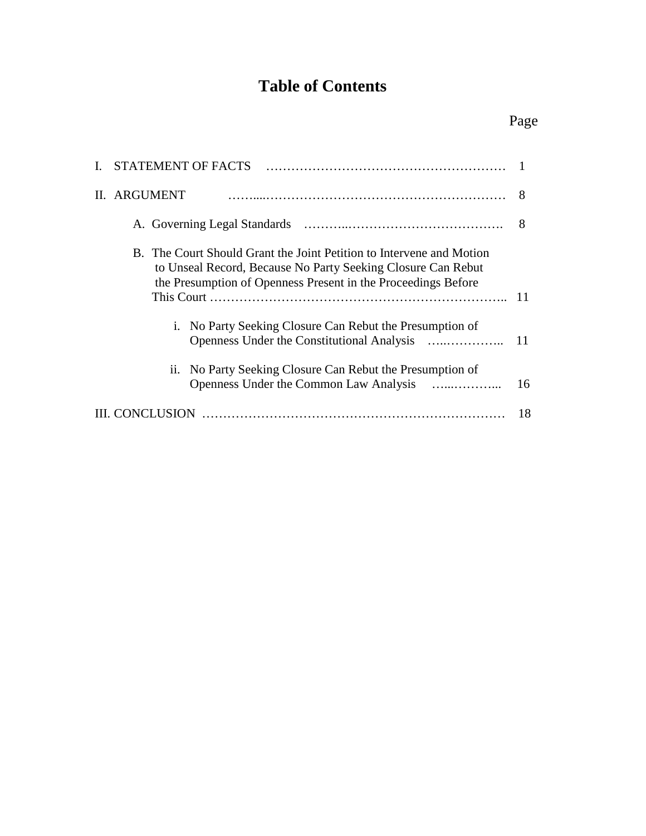# **Table of Contents**

|                         | I. STATEMENT OF FACTS                                                                                                                                                                                 |    |  |
|-------------------------|-------------------------------------------------------------------------------------------------------------------------------------------------------------------------------------------------------|----|--|
|                         | II. ARGUMENT                                                                                                                                                                                          | 8  |  |
|                         |                                                                                                                                                                                                       | 8  |  |
|                         | B. The Court Should Grant the Joint Petition to Intervene and Motion<br>to Unseal Record, Because No Party Seeking Closure Can Rebut<br>the Presumption of Openness Present in the Proceedings Before | 11 |  |
|                         | i. No Party Seeking Closure Can Rebut the Presumption of                                                                                                                                              | 11 |  |
|                         | ii. No Party Seeking Closure Can Rebut the Presumption of                                                                                                                                             | 16 |  |
| <b>CONCLUSION</b><br>18 |                                                                                                                                                                                                       |    |  |

## Page **Page**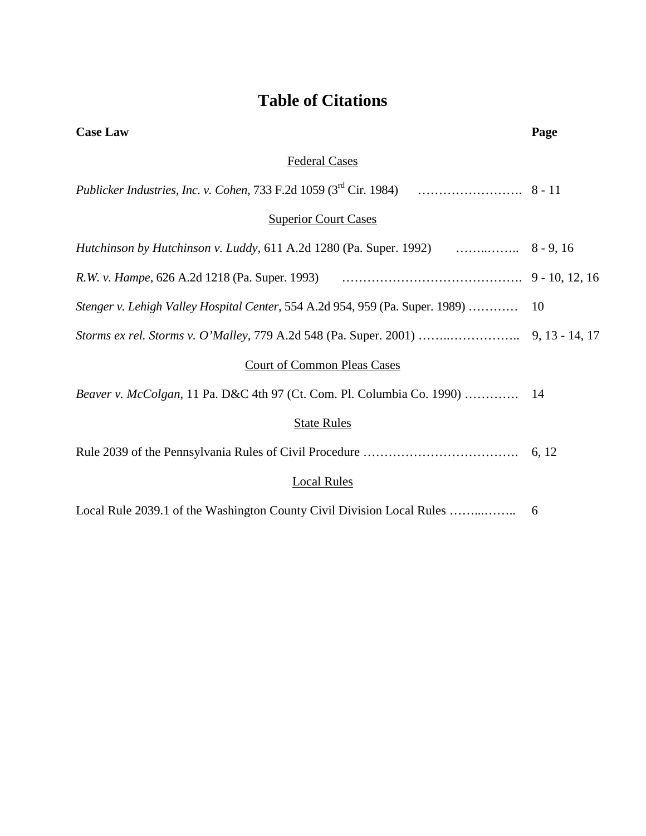# **Table of Citations**

| <b>Case Law</b>                                                               | Page |  |  |  |
|-------------------------------------------------------------------------------|------|--|--|--|
| <b>Federal Cases</b>                                                          |      |  |  |  |
|                                                                               |      |  |  |  |
| <b>Superior Court Cases</b>                                                   |      |  |  |  |
|                                                                               |      |  |  |  |
|                                                                               |      |  |  |  |
| Stenger v. Lehigh Valley Hospital Center, 554 A.2d 954, 959 (Pa. Super. 1989) | 10   |  |  |  |
|                                                                               |      |  |  |  |
| <b>Court of Common Pleas Cases</b>                                            |      |  |  |  |
| Beaver v. McColgan, 11 Pa. D&C 4th 97 (Ct. Com. Pl. Columbia Co. 1990)  14    |      |  |  |  |
| <b>State Rules</b>                                                            |      |  |  |  |
|                                                                               |      |  |  |  |
| <b>Local Rules</b>                                                            |      |  |  |  |
|                                                                               | 6    |  |  |  |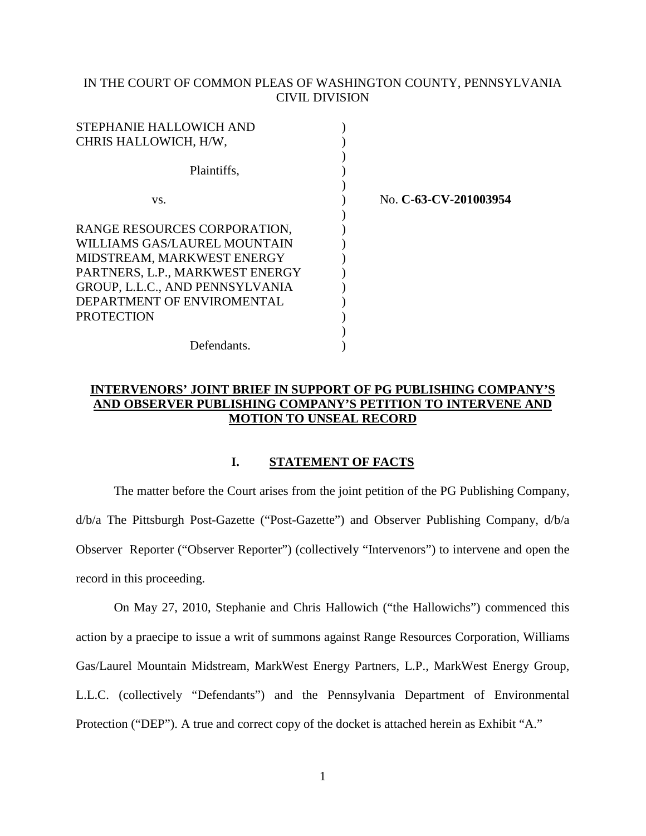### IN THE COURT OF COMMON PLEAS OF WASHINGTON COUNTY, PENNSYLVANIA CIVIL DIVISION

| STEPHANIE HALLOWICH AND         |        |
|---------------------------------|--------|
| CHRIS HALLOWICH, H/W,           |        |
| Plaintiffs,                     |        |
| VS.                             | No. C- |
| RANGE RESOURCES CORPORATION,    |        |
| WILLIAMS GAS/LAUREL MOUNTAIN    |        |
| MIDSTREAM, MARKWEST ENERGY      |        |
| PARTNERS, L.P., MARKWEST ENERGY |        |
| GROUP, L.L.C., AND PENNSYLVANIA |        |
| DEPARTMENT OF ENVIROMENTAL      |        |
| <b>PROTECTION</b>               |        |
|                                 |        |
| Defendants.                     |        |

vs. ) No. **C-63-CV-201003954**

### **INTERVENORS' JOINT BRIEF IN SUPPORT OF PG PUBLISHING COMPANY'S AND OBSERVER PUBLISHING COMPANY'S PETITION TO INTERVENE AND MOTION TO UNSEAL RECORD**

#### **I. STATEMENT OF FACTS**

The matter before the Court arises from the joint petition of the PG Publishing Company, d/b/a The Pittsburgh Post-Gazette ("Post-Gazette") and Observer Publishing Company, d/b/a Observer Reporter ("Observer Reporter") (collectively "Intervenors") to intervene and open the record in this proceeding.

On May 27, 2010, Stephanie and Chris Hallowich ("the Hallowichs") commenced this action by a praecipe to issue a writ of summons against Range Resources Corporation, Williams Gas/Laurel Mountain Midstream, MarkWest Energy Partners, L.P., MarkWest Energy Group, L.L.C. (collectively "Defendants") and the Pennsylvania Department of Environmental Protection ("DEP"). A true and correct copy of the docket is attached herein as Exhibit "A."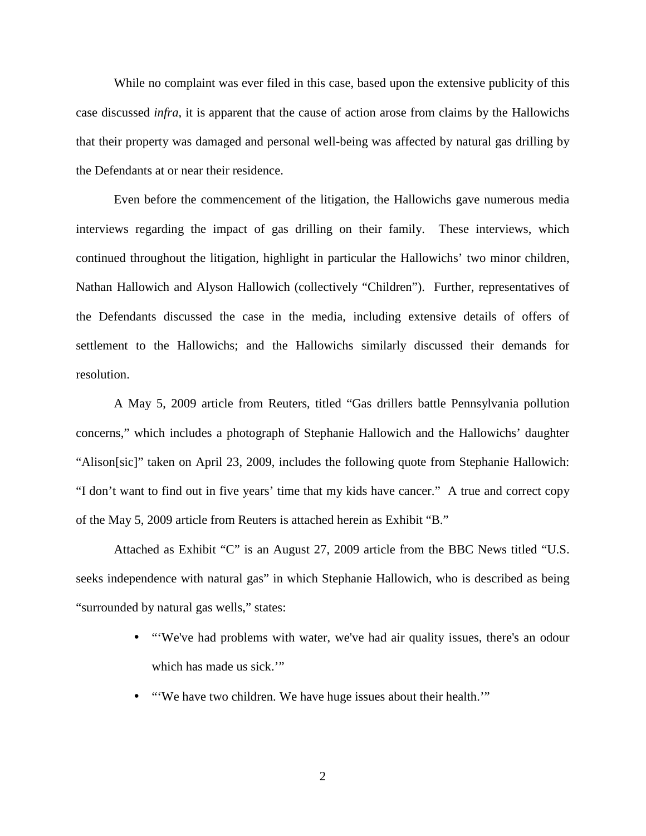While no complaint was ever filed in this case, based upon the extensive publicity of this case discussed *infra*, it is apparent that the cause of action arose from claims by the Hallowichs that their property was damaged and personal well-being was affected by natural gas drilling by the Defendants at or near their residence.

Even before the commencement of the litigation, the Hallowichs gave numerous media interviews regarding the impact of gas drilling on their family. These interviews, which continued throughout the litigation, highlight in particular the Hallowichs' two minor children, Nathan Hallowich and Alyson Hallowich (collectively "Children"). Further, representatives of the Defendants discussed the case in the media, including extensive details of offers of settlement to the Hallowichs; and the Hallowichs similarly discussed their demands for resolution.

A May 5, 2009 article from Reuters, titled "Gas drillers battle Pennsylvania pollution concerns," which includes a photograph of Stephanie Hallowich and the Hallowichs' daughter "Alison[sic]" taken on April 23, 2009, includes the following quote from Stephanie Hallowich: "I don't want to find out in five years' time that my kids have cancer." A true and correct copy of the May 5, 2009 article from Reuters is attached herein as Exhibit "B."

Attached as Exhibit "C" is an August 27, 2009 article from the BBC News titled "U.S. seeks independence with natural gas" in which Stephanie Hallowich, who is described as being "surrounded by natural gas wells," states:

- "We've had problems with water, we've had air quality issues, there's an odour which has made us sick."
- "'We have two children. We have huge issues about their health.'"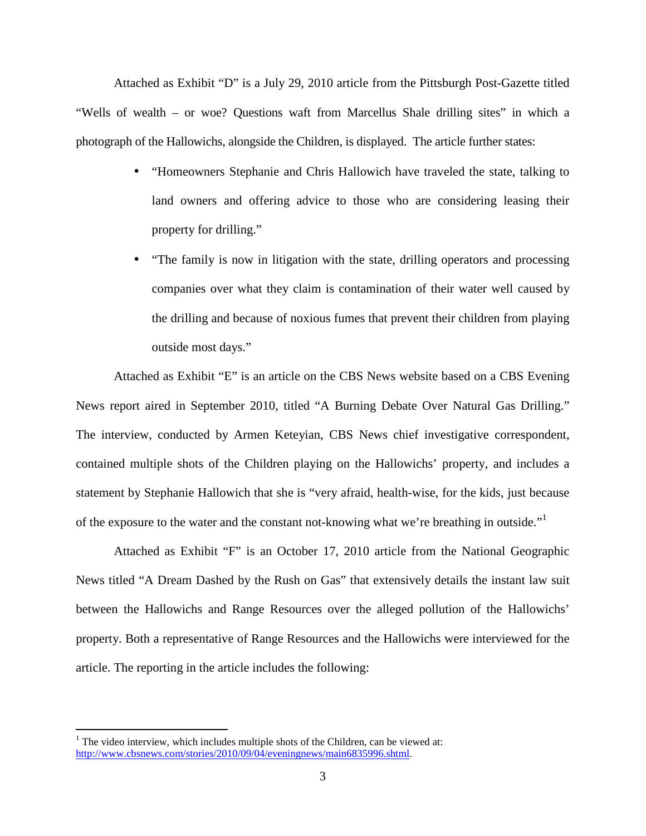Attached as Exhibit "D" is a July 29, 2010 article from the Pittsburgh Post-Gazette titled "Wells of wealth – or woe? Questions waft from Marcellus Shale drilling sites" in which a photograph of the Hallowichs, alongside the Children, is displayed. The article further states:

- "Homeowners Stephanie and Chris Hallowich have traveled the state, talking to land owners and offering advice to those who are considering leasing their property for drilling."
- "The family is now in litigation with the state, drilling operators and processing companies over what they claim is contamination of their water well caused by the drilling and because of noxious fumes that prevent their children from playing outside most days."

Attached as Exhibit "E" is an article on the CBS News website based on a CBS Evening News report aired in September 2010, titled "A Burning Debate Over Natural Gas Drilling." The interview, conducted by Armen Keteyian, CBS News chief investigative correspondent, contained multiple shots of the Children playing on the Hallowichs' property, and includes a statement by Stephanie Hallowich that she is "very afraid, health-wise, for the kids, just because of the exposure to the water and the constant not-knowing what we're breathing in outside."<sup>1</sup>

Attached as Exhibit "F" is an October 17, 2010 article from the National Geographic News titled "A Dream Dashed by the Rush on Gas" that extensively details the instant law suit between the Hallowichs and Range Resources over the alleged pollution of the Hallowichs' property. Both a representative of Range Resources and the Hallowichs were interviewed for the article. The reporting in the article includes the following:

 $\overline{a}$ 

 $1$  The video interview, which includes multiple shots of the Children, can be viewed at: http://www.cbsnews.com/stories/2010/09/04/eveningnews/main6835996.shtml.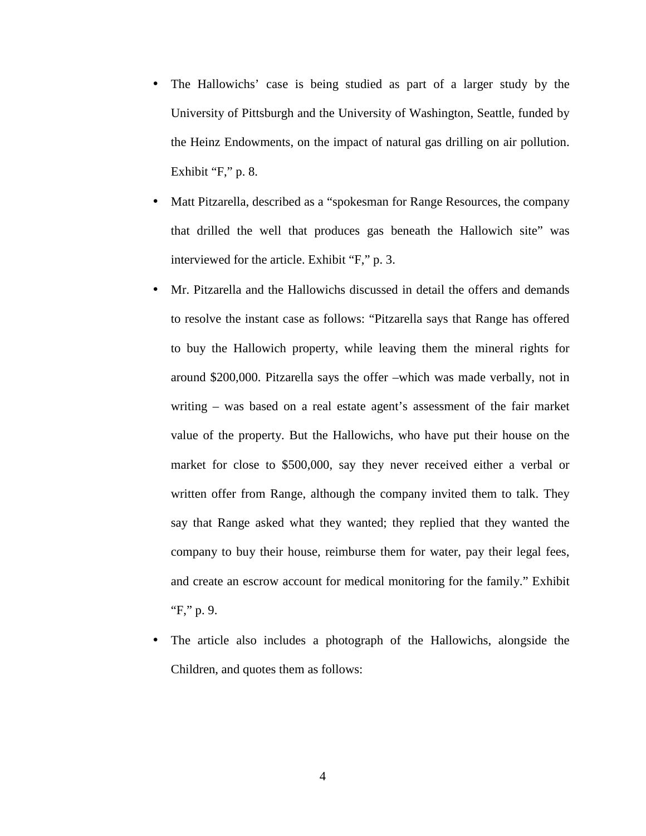- The Hallowichs' case is being studied as part of a larger study by the University of Pittsburgh and the University of Washington, Seattle, funded by the Heinz Endowments, on the impact of natural gas drilling on air pollution. Exhibit "F," p. 8.
- Matt Pitzarella, described as a "spokesman for Range Resources, the company that drilled the well that produces gas beneath the Hallowich site" was interviewed for the article. Exhibit "F," p. 3.
- Mr. Pitzarella and the Hallowichs discussed in detail the offers and demands to resolve the instant case as follows: "Pitzarella says that Range has offered to buy the Hallowich property, while leaving them the mineral rights for around \$200,000. Pitzarella says the offer –which was made verbally, not in writing – was based on a real estate agent's assessment of the fair market value of the property. But the Hallowichs, who have put their house on the market for close to \$500,000, say they never received either a verbal or written offer from Range, although the company invited them to talk. They say that Range asked what they wanted; they replied that they wanted the company to buy their house, reimburse them for water, pay their legal fees, and create an escrow account for medical monitoring for the family." Exhibit "F," p. 9.
- The article also includes a photograph of the Hallowichs, alongside the Children, and quotes them as follows: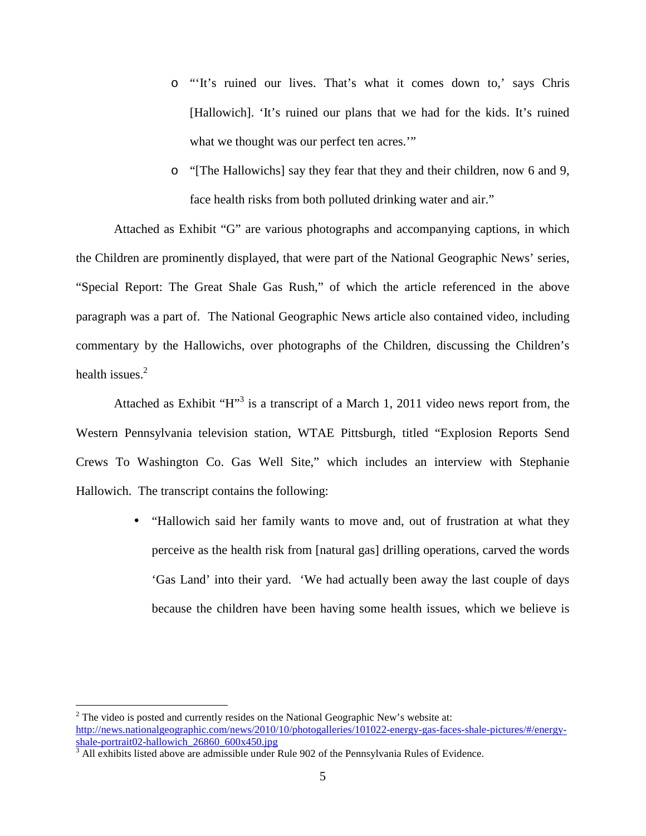- o "'It's ruined our lives. That's what it comes down to,' says Chris [Hallowich]. 'It's ruined our plans that we had for the kids. It's ruined what we thought was our perfect ten acres."
- o "[The Hallowichs] say they fear that they and their children, now 6 and 9, face health risks from both polluted drinking water and air."

Attached as Exhibit "G" are various photographs and accompanying captions, in which the Children are prominently displayed, that were part of the National Geographic News' series, "Special Report: The Great Shale Gas Rush," of which the article referenced in the above paragraph was a part of. The National Geographic News article also contained video, including commentary by the Hallowichs, over photographs of the Children, discussing the Children's health issues $<sup>2</sup>$ </sup>

Attached as Exhibit " $H$ <sup>3</sup> is a transcript of a March 1, 2011 video news report from, the Western Pennsylvania television station, WTAE Pittsburgh, titled "Explosion Reports Send Crews To Washington Co. Gas Well Site," which includes an interview with Stephanie Hallowich. The transcript contains the following:

> • "Hallowich said her family wants to move and, out of frustration at what they perceive as the health risk from [natural gas] drilling operations, carved the words 'Gas Land' into their yard. 'We had actually been away the last couple of days because the children have been having some health issues, which we believe is

<u>.</u>

 $2^2$  The video is posted and currently resides on the National Geographic New's website at: http://news.nationalgeographic.com/news/2010/10/photogalleries/101022-energy-gas-faces-shale-pictures/#/energyshale-portrait02-hallowich\_26860\_600x450.jpg

<sup>&</sup>lt;sup>3</sup> All exhibits listed above are admissible under Rule 902 of the Pennsylvania Rules of Evidence.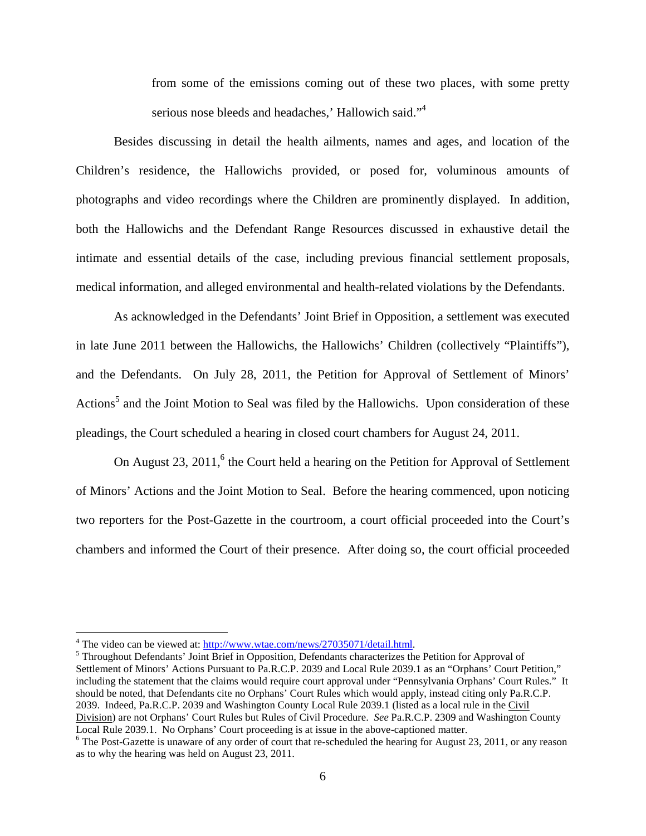from some of the emissions coming out of these two places, with some pretty serious nose bleeds and headaches,' Hallowich said."<sup>4</sup>

Besides discussing in detail the health ailments, names and ages, and location of the Children's residence, the Hallowichs provided, or posed for, voluminous amounts of photographs and video recordings where the Children are prominently displayed. In addition, both the Hallowichs and the Defendant Range Resources discussed in exhaustive detail the intimate and essential details of the case, including previous financial settlement proposals, medical information, and alleged environmental and health-related violations by the Defendants.

As acknowledged in the Defendants' Joint Brief in Opposition, a settlement was executed in late June 2011 between the Hallowichs, the Hallowichs' Children (collectively "Plaintiffs"), and the Defendants. On July 28, 2011, the Petition for Approval of Settlement of Minors' Actions<sup>5</sup> and the Joint Motion to Seal was filed by the Hallowichs. Upon consideration of these pleadings, the Court scheduled a hearing in closed court chambers for August 24, 2011.

On August  $23$ ,  $2011$ ,  $6$  the Court held a hearing on the Petition for Approval of Settlement of Minors' Actions and the Joint Motion to Seal. Before the hearing commenced, upon noticing two reporters for the Post-Gazette in the courtroom, a court official proceeded into the Court's chambers and informed the Court of their presence. After doing so, the court official proceeded

<u>.</u>

<sup>&</sup>lt;sup>4</sup> The video can be viewed at:  $\frac{http://www.wtae.com/news/27035071/detail.html}{http://www.wtae.com/news/27035071/detail.html}.$ 

<sup>&</sup>lt;sup>5</sup> Throughout Defendants' Joint Brief in Opposition, Defendants characterizes the Petition for Approval of Settlement of Minors' Actions Pursuant to Pa.R.C.P. 2039 and Local Rule 2039.1 as an "Orphans' Court Petition," including the statement that the claims would require court approval under "Pennsylvania Orphans' Court Rules." It should be noted, that Defendants cite no Orphans' Court Rules which would apply, instead citing only Pa.R.C.P. 2039. Indeed, Pa.R.C.P. 2039 and Washington County Local Rule 2039.1 (listed as a local rule in the Civil Division) are not Orphans' Court Rules but Rules of Civil Procedure. *See* Pa.R.C.P. 2309 and Washington County Local Rule 2039.1. No Orphans' Court proceeding is at issue in the above-captioned matter.

<sup>&</sup>lt;sup>6</sup> The Post-Gazette is unaware of any order of court that re-scheduled the hearing for August 23, 2011, or any reason as to why the hearing was held on August 23, 2011.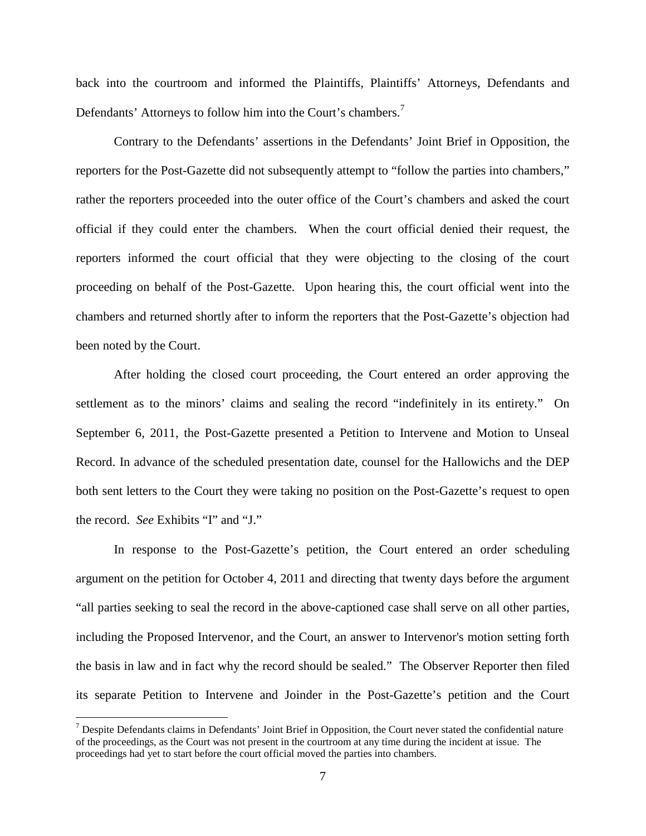back into the courtroom and informed the Plaintiffs, Plaintiffs' Attorneys, Defendants and Defendants' Attorneys to follow him into the Court's chambers.<sup>7</sup>

Contrary to the Defendants' assertions in the Defendants' Joint Brief in Opposition, the reporters for the Post-Gazette did not subsequently attempt to "follow the parties into chambers," rather the reporters proceeded into the outer office of the Court's chambers and asked the court official if they could enter the chambers. When the court official denied their request, the reporters informed the court official that they were objecting to the closing of the court proceeding on behalf of the Post-Gazette. Upon hearing this, the court official went into the chambers and returned shortly after to inform the reporters that the Post-Gazette's objection had been noted by the Court.

After holding the closed court proceeding, the Court entered an order approving the settlement as to the minors' claims and sealing the record "indefinitely in its entirety." On September 6, 2011, the Post-Gazette presented a Petition to Intervene and Motion to Unseal Record. In advance of the scheduled presentation date, counsel for the Hallowichs and the DEP both sent letters to the Court they were taking no position on the Post-Gazette's request to open the record. *See* Exhibits "I" and "J."

In response to the Post-Gazette's petition, the Court entered an order scheduling argument on the petition for October 4, 2011 and directing that twenty days before the argument "all parties seeking to seal the record in the above-captioned case shall serve on all other parties, including the Proposed Intervenor, and the Court, an answer to Intervenor's motion setting forth the basis in law and in fact why the record should be sealed." The Observer Reporter then filed its separate Petition to Intervene and Joinder in the Post-Gazette's petition and the Court

 $\overline{a}$ 

 $<sup>7</sup>$  Despite Defendants claims in Defendants' Joint Brief in Opposition, the Court never stated the confidential nature</sup> of the proceedings, as the Court was not present in the courtroom at any time during the incident at issue. The proceedings had yet to start before the court official moved the parties into chambers.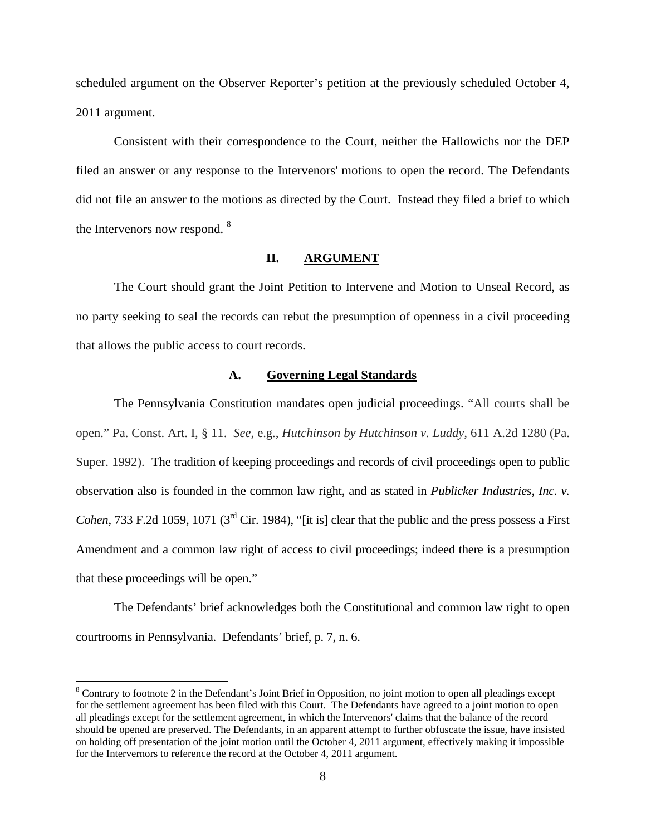scheduled argument on the Observer Reporter's petition at the previously scheduled October 4, 2011 argument.

Consistent with their correspondence to the Court, neither the Hallowichs nor the DEP filed an answer or any response to the Intervenors' motions to open the record. The Defendants did not file an answer to the motions as directed by the Court. Instead they filed a brief to which the Intervenors now respond. <sup>8</sup>

#### **II. ARGUMENT**

The Court should grant the Joint Petition to Intervene and Motion to Unseal Record, as no party seeking to seal the records can rebut the presumption of openness in a civil proceeding that allows the public access to court records.

#### **A. Governing Legal Standards**

The Pennsylvania Constitution mandates open judicial proceedings. "All courts shall be open." Pa. Const. Art. I, § 11. *See*, e.g., *Hutchinson by Hutchinson v. Luddy,* 611 A.2d 1280 (Pa. Super. 1992). The tradition of keeping proceedings and records of civil proceedings open to public observation also is founded in the common law right, and as stated in *Publicker Industries, Inc. v. Cohen*, 733 F.2d 1059, 1071 (3<sup>rd</sup> Cir. 1984), "[it is] clear that the public and the press possess a First Amendment and a common law right of access to civil proceedings; indeed there is a presumption that these proceedings will be open."

The Defendants' brief acknowledges both the Constitutional and common law right to open courtrooms in Pennsylvania. Defendants' brief, p. 7, n. 6.

 $\overline{a}$ 

<sup>&</sup>lt;sup>8</sup> Contrary to footnote 2 in the Defendant's Joint Brief in Opposition, no joint motion to open all pleadings except for the settlement agreement has been filed with this Court. The Defendants have agreed to a joint motion to open all pleadings except for the settlement agreement, in which the Intervenors' claims that the balance of the record should be opened are preserved. The Defendants, in an apparent attempt to further obfuscate the issue, have insisted on holding off presentation of the joint motion until the October 4, 2011 argument, effectively making it impossible for the Intervernors to reference the record at the October 4, 2011 argument.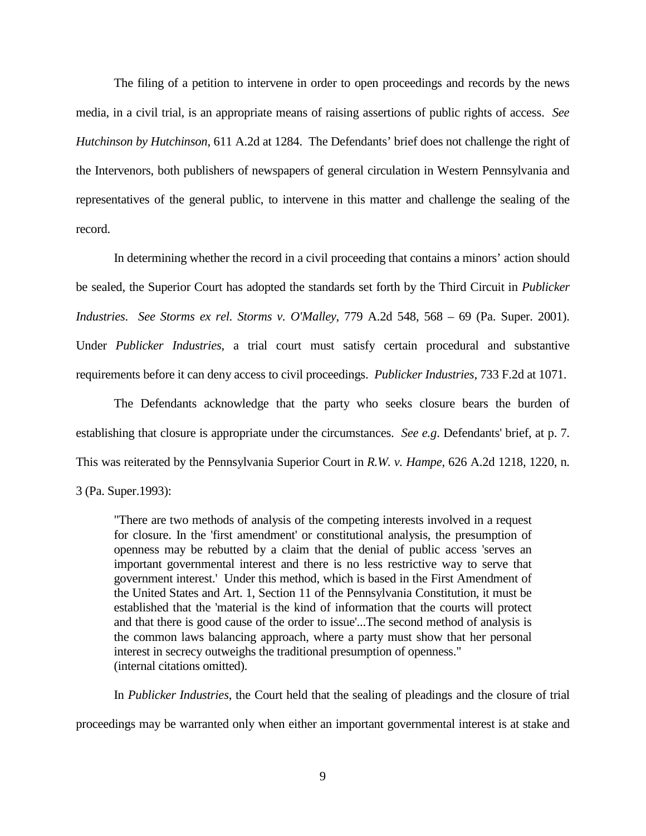The filing of a petition to intervene in order to open proceedings and records by the news media, in a civil trial, is an appropriate means of raising assertions of public rights of access. *See Hutchinson by Hutchinson*, 611 A.2d at 1284. The Defendants' brief does not challenge the right of the Intervenors, both publishers of newspapers of general circulation in Western Pennsylvania and representatives of the general public, to intervene in this matter and challenge the sealing of the record.

In determining whether the record in a civil proceeding that contains a minors' action should be sealed, the Superior Court has adopted the standards set forth by the Third Circuit in *Publicker Industries*. *See Storms ex rel. Storms v. O'Malley*, 779 A.2d 548, 568 – 69 (Pa. Super. 2001). Under *Publicker Industries*, a trial court must satisfy certain procedural and substantive requirements before it can deny access to civil proceedings. *Publicker Industries*, 733 F.2d at 1071.

The Defendants acknowledge that the party who seeks closure bears the burden of establishing that closure is appropriate under the circumstances. *See e.g*. Defendants' brief, at p. 7. This was reiterated by the Pennsylvania Superior Court in *R.W. v. Hampe*, 626 A.2d 1218, 1220, n.

"There are two methods of analysis of the competing interests involved in a request for closure. In the 'first amendment' or constitutional analysis, the presumption of openness may be rebutted by a claim that the denial of public access 'serves an important governmental interest and there is no less restrictive way to serve that government interest.' Under this method, which is based in the First Amendment of the United States and Art. 1, Section 11 of the Pennsylvania Constitution, it must be established that the 'material is the kind of information that the courts will protect and that there is good cause of the order to issue'...The second method of analysis is the common laws balancing approach, where a party must show that her personal interest in secrecy outweighs the traditional presumption of openness." (internal citations omitted).

In *Publicker Industries*, the Court held that the sealing of pleadings and the closure of trial proceedings may be warranted only when either an important governmental interest is at stake and

<sup>3 (</sup>Pa. Super.1993):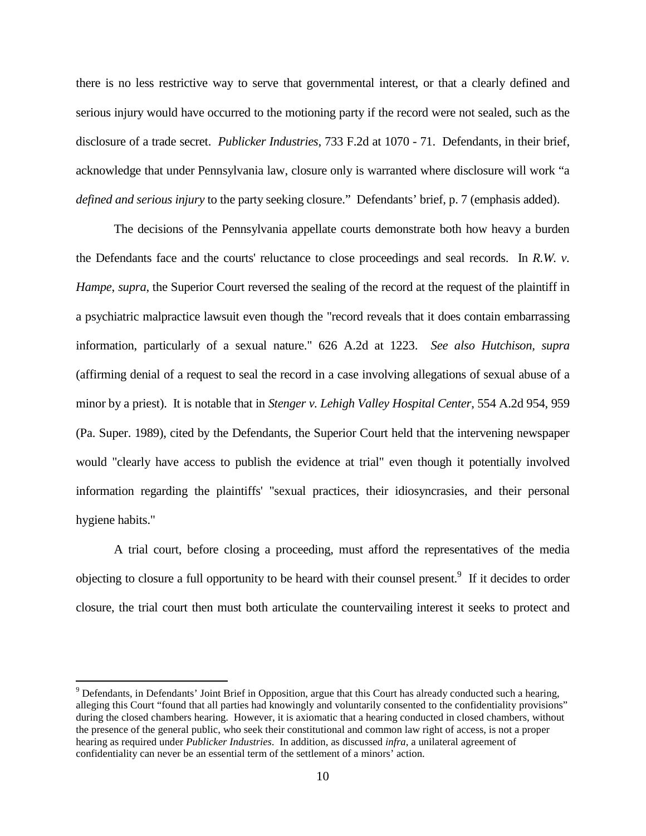there is no less restrictive way to serve that governmental interest, or that a clearly defined and serious injury would have occurred to the motioning party if the record were not sealed, such as the disclosure of a trade secret. *Publicker Industries*, 733 F.2d at 1070 - 71. Defendants, in their brief, acknowledge that under Pennsylvania law, closure only is warranted where disclosure will work "a *defined and serious injury* to the party seeking closure." Defendants' brief, p. 7 (emphasis added).

The decisions of the Pennsylvania appellate courts demonstrate both how heavy a burden the Defendants face and the courts' reluctance to close proceedings and seal records. In *R.W. v. Hampe*, *supra*, the Superior Court reversed the sealing of the record at the request of the plaintiff in a psychiatric malpractice lawsuit even though the "record reveals that it does contain embarrassing information, particularly of a sexual nature." 626 A.2d at 1223. *See also Hutchison, supra*  (affirming denial of a request to seal the record in a case involving allegations of sexual abuse of a minor by a priest). It is notable that in *Stenger v. Lehigh Valley Hospital Center*, 554 A.2d 954, 959 (Pa. Super. 1989), cited by the Defendants, the Superior Court held that the intervening newspaper would "clearly have access to publish the evidence at trial" even though it potentially involved information regarding the plaintiffs' "sexual practices, their idiosyncrasies, and their personal hygiene habits."

A trial court, before closing a proceeding, must afford the representatives of the media objecting to closure a full opportunity to be heard with their counsel present.<sup>9</sup> If it decides to order closure, the trial court then must both articulate the countervailing interest it seeks to protect and

-

 $9$  Defendants, in Defendants' Joint Brief in Opposition, argue that this Court has already conducted such a hearing, alleging this Court "found that all parties had knowingly and voluntarily consented to the confidentiality provisions" during the closed chambers hearing. However, it is axiomatic that a hearing conducted in closed chambers, without the presence of the general public, who seek their constitutional and common law right of access, is not a proper hearing as required under *Publicker Industries*. In addition, as discussed *infra*, a unilateral agreement of confidentiality can never be an essential term of the settlement of a minors' action.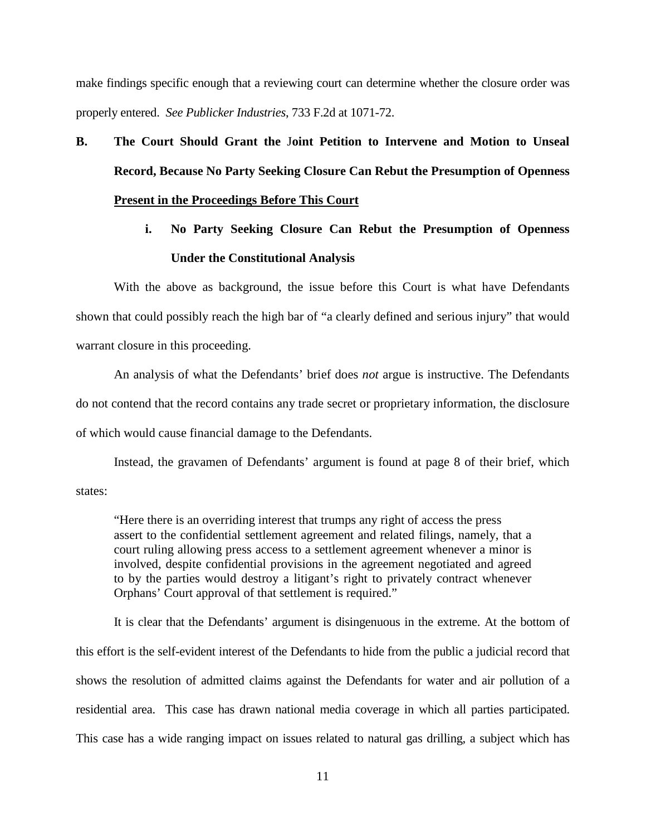make findings specific enough that a reviewing court can determine whether the closure order was properly entered. *See Publicker Industries*, 733 F.2d at 1071-72.

# **B. The Court Should Grant the** J**oint Petition to Intervene and Motion to Unseal Record, Because No Party Seeking Closure Can Rebut the Presumption of Openness Present in the Proceedings Before This Court**

**i. No Party Seeking Closure Can Rebut the Presumption of Openness Under the Constitutional Analysis** 

With the above as background, the issue before this Court is what have Defendants shown that could possibly reach the high bar of "a clearly defined and serious injury" that would warrant closure in this proceeding.

An analysis of what the Defendants' brief does *not* argue is instructive. The Defendants do not contend that the record contains any trade secret or proprietary information, the disclosure of which would cause financial damage to the Defendants.

Instead, the gravamen of Defendants' argument is found at page 8 of their brief, which states:

"Here there is an overriding interest that trumps any right of access the press assert to the confidential settlement agreement and related filings, namely, that a court ruling allowing press access to a settlement agreement whenever a minor is involved, despite confidential provisions in the agreement negotiated and agreed to by the parties would destroy a litigant's right to privately contract whenever Orphans' Court approval of that settlement is required."

It is clear that the Defendants' argument is disingenuous in the extreme. At the bottom of this effort is the self-evident interest of the Defendants to hide from the public a judicial record that shows the resolution of admitted claims against the Defendants for water and air pollution of a residential area. This case has drawn national media coverage in which all parties participated. This case has a wide ranging impact on issues related to natural gas drilling, a subject which has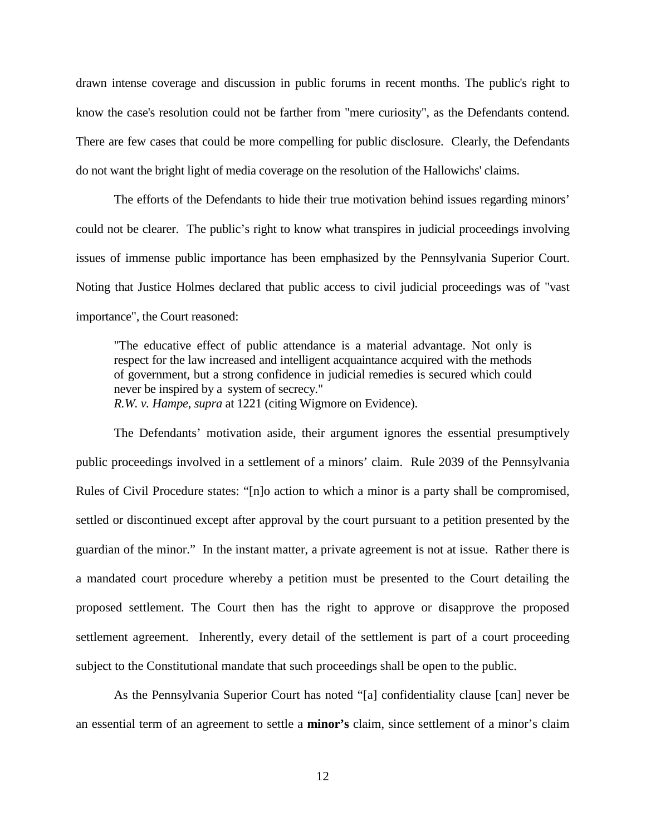drawn intense coverage and discussion in public forums in recent months. The public's right to know the case's resolution could not be farther from "mere curiosity", as the Defendants contend. There are few cases that could be more compelling for public disclosure. Clearly, the Defendants do not want the bright light of media coverage on the resolution of the Hallowichs' claims.

The efforts of the Defendants to hide their true motivation behind issues regarding minors' could not be clearer. The public's right to know what transpires in judicial proceedings involving issues of immense public importance has been emphasized by the Pennsylvania Superior Court. Noting that Justice Holmes declared that public access to civil judicial proceedings was of "vast importance", the Court reasoned:

"The educative effect of public attendance is a material advantage. Not only is respect for the law increased and intelligent acquaintance acquired with the methods of government, but a strong confidence in judicial remedies is secured which could never be inspired by a system of secrecy." *R.W. v. Hampe*, *supra* at 1221 (citing Wigmore on Evidence).

The Defendants' motivation aside, their argument ignores the essential presumptively public proceedings involved in a settlement of a minors' claim. Rule 2039 of the Pennsylvania Rules of Civil Procedure states: "[n]o action to which a minor is a party shall be compromised, settled or discontinued except after approval by the court pursuant to a petition presented by the guardian of the minor." In the instant matter, a private agreement is not at issue. Rather there is a mandated court procedure whereby a petition must be presented to the Court detailing the proposed settlement. The Court then has the right to approve or disapprove the proposed settlement agreement. Inherently, every detail of the settlement is part of a court proceeding subject to the Constitutional mandate that such proceedings shall be open to the public.

As the Pennsylvania Superior Court has noted "[a] confidentiality clause [can] never be an essential term of an agreement to settle a **minor's** claim, since settlement of a minor's claim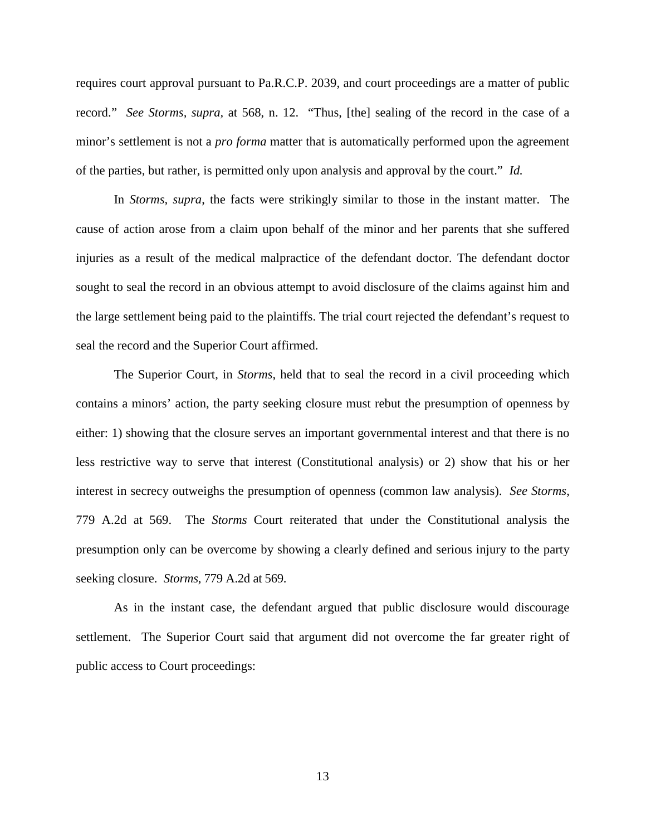requires court approval pursuant to Pa.R.C.P. 2039, and court proceedings are a matter of public record." *See Storms, supra,* at 568, n. 12. "Thus, [the] sealing of the record in the case of a minor's settlement is not a *pro forma* matter that is automatically performed upon the agreement of the parties, but rather, is permitted only upon analysis and approval by the court." *Id.*

In *Storms, supra*, the facts were strikingly similar to those in the instant matter. The cause of action arose from a claim upon behalf of the minor and her parents that she suffered injuries as a result of the medical malpractice of the defendant doctor. The defendant doctor sought to seal the record in an obvious attempt to avoid disclosure of the claims against him and the large settlement being paid to the plaintiffs. The trial court rejected the defendant's request to seal the record and the Superior Court affirmed.

The Superior Court, in *Storms*, held that to seal the record in a civil proceeding which contains a minors' action, the party seeking closure must rebut the presumption of openness by either: 1) showing that the closure serves an important governmental interest and that there is no less restrictive way to serve that interest (Constitutional analysis) or 2) show that his or her interest in secrecy outweighs the presumption of openness (common law analysis). *See Storms*, 779 A.2d at 569. The *Storms* Court reiterated that under the Constitutional analysis the presumption only can be overcome by showing a clearly defined and serious injury to the party seeking closure. *Storms*, 779 A.2d at 569.

As in the instant case, the defendant argued that public disclosure would discourage settlement. The Superior Court said that argument did not overcome the far greater right of public access to Court proceedings: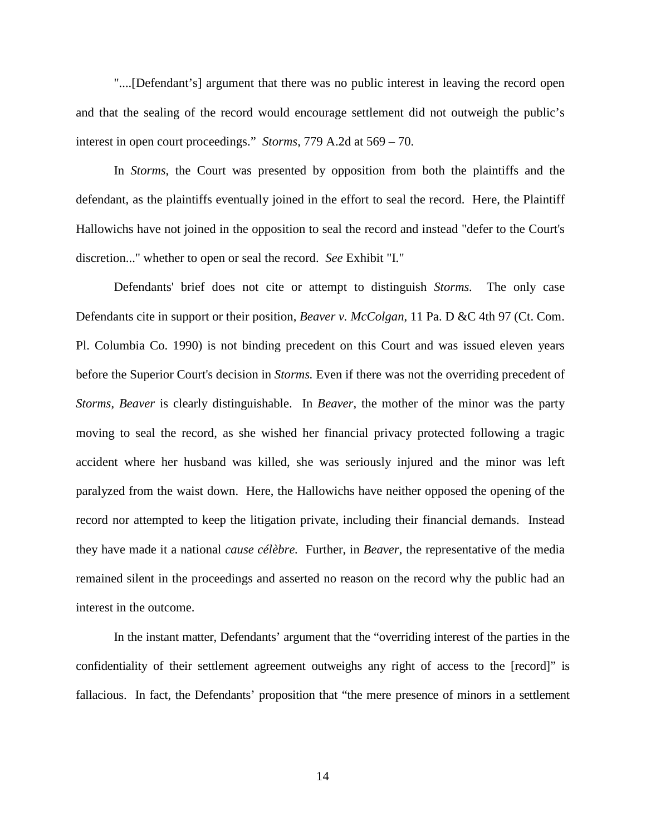"....[Defendant's] argument that there was no public interest in leaving the record open and that the sealing of the record would encourage settlement did not outweigh the public's interest in open court proceedings." *Storms*, 779 A.2d at 569 – 70.

 In *Storms*, the Court was presented by opposition from both the plaintiffs and the defendant, as the plaintiffs eventually joined in the effort to seal the record. Here, the Plaintiff Hallowichs have not joined in the opposition to seal the record and instead "defer to the Court's discretion..." whether to open or seal the record. *See* Exhibit "I."

 Defendants' brief does not cite or attempt to distinguish *Storms.* The only case Defendants cite in support or their position, *Beaver v. McColgan*, 11 Pa. D &C 4th 97 (Ct. Com. Pl. Columbia Co. 1990) is not binding precedent on this Court and was issued eleven years before the Superior Court's decision in *Storms.* Even if there was not the overriding precedent of *Storms*, *Beaver* is clearly distinguishable. In *Beaver*, the mother of the minor was the party moving to seal the record, as she wished her financial privacy protected following a tragic accident where her husband was killed, she was seriously injured and the minor was left paralyzed from the waist down. Here, the Hallowichs have neither opposed the opening of the record nor attempted to keep the litigation private, including their financial demands. Instead they have made it a national *cause célèbre.* Further, in *Beaver*, the representative of the media remained silent in the proceedings and asserted no reason on the record why the public had an interest in the outcome.

In the instant matter, Defendants' argument that the "overriding interest of the parties in the confidentiality of their settlement agreement outweighs any right of access to the [record]" is fallacious. In fact, the Defendants' proposition that "the mere presence of minors in a settlement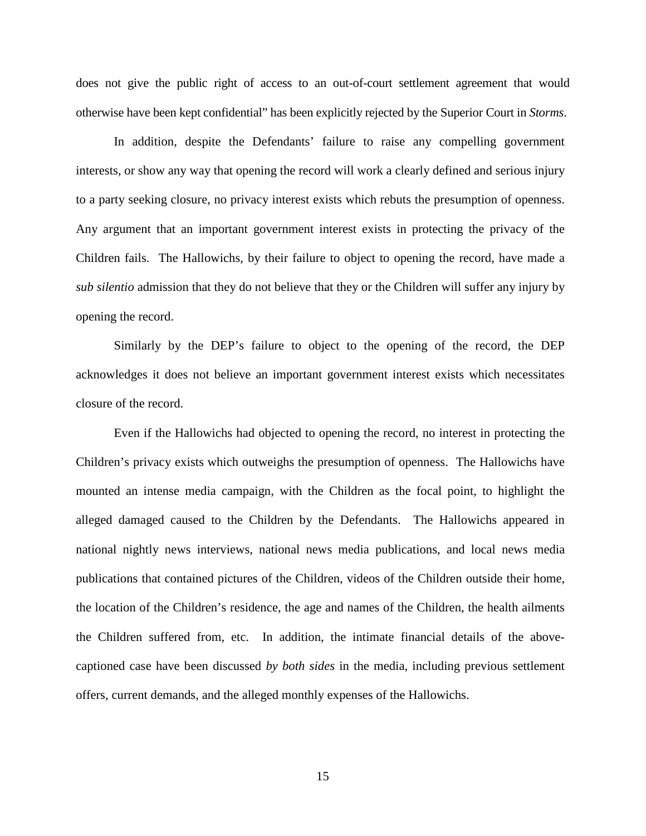does not give the public right of access to an out-of-court settlement agreement that would otherwise have been kept confidential" has been explicitly rejected by the Superior Court in *Storms*.

 In addition, despite the Defendants' failure to raise any compelling government interests, or show any way that opening the record will work a clearly defined and serious injury to a party seeking closure, no privacy interest exists which rebuts the presumption of openness. Any argument that an important government interest exists in protecting the privacy of the Children fails. The Hallowichs, by their failure to object to opening the record, have made a *sub silentio* admission that they do not believe that they or the Children will suffer any injury by opening the record.

 Similarly by the DEP's failure to object to the opening of the record, the DEP acknowledges it does not believe an important government interest exists which necessitates closure of the record.

 Even if the Hallowichs had objected to opening the record, no interest in protecting the Children's privacy exists which outweighs the presumption of openness. The Hallowichs have mounted an intense media campaign, with the Children as the focal point, to highlight the alleged damaged caused to the Children by the Defendants. The Hallowichs appeared in national nightly news interviews, national news media publications, and local news media publications that contained pictures of the Children, videos of the Children outside their home, the location of the Children's residence, the age and names of the Children, the health ailments the Children suffered from, etc. In addition, the intimate financial details of the abovecaptioned case have been discussed *by both sides* in the media, including previous settlement offers, current demands, and the alleged monthly expenses of the Hallowichs.

15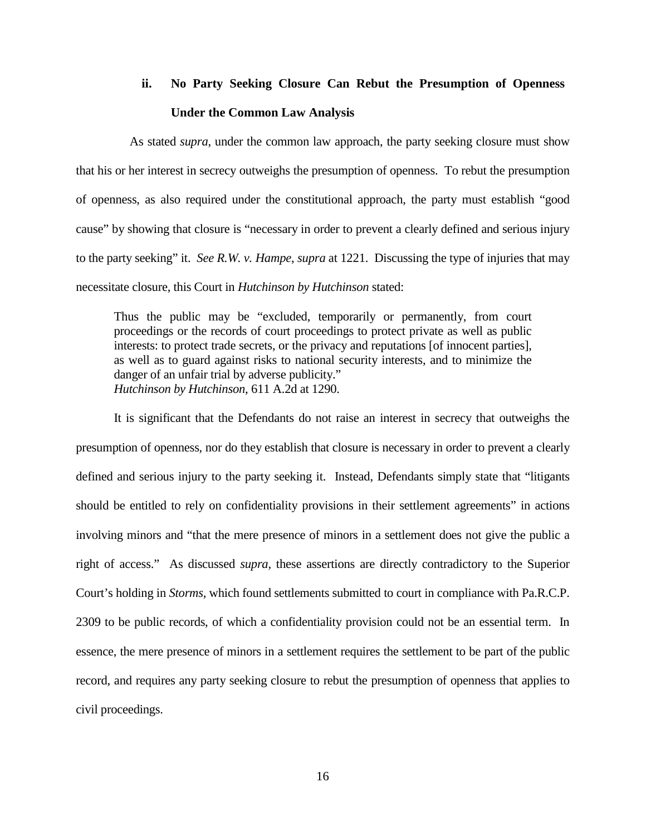# **ii. No Party Seeking Closure Can Rebut the Presumption of Openness Under the Common Law Analysis**

As stated *supra*, under the common law approach, the party seeking closure must show that his or her interest in secrecy outweighs the presumption of openness. To rebut the presumption of openness, as also required under the constitutional approach, the party must establish "good cause" by showing that closure is "necessary in order to prevent a clearly defined and serious injury to the party seeking" it. *See R.W. v. Hampe*, *supra* at 1221. Discussing the type of injuries that may necessitate closure, this Court in *Hutchinson by Hutchinson* stated:

Thus the public may be "excluded, temporarily or permanently, from court proceedings or the records of court proceedings to protect private as well as public interests: to protect trade secrets, or the privacy and reputations [of innocent parties], as well as to guard against risks to national security interests, and to minimize the danger of an unfair trial by adverse publicity." *Hutchinson by Hutchinson*, 611 A.2d at 1290.

It is significant that the Defendants do not raise an interest in secrecy that outweighs the presumption of openness, nor do they establish that closure is necessary in order to prevent a clearly defined and serious injury to the party seeking it. Instead, Defendants simply state that "litigants should be entitled to rely on confidentiality provisions in their settlement agreements" in actions involving minors and "that the mere presence of minors in a settlement does not give the public a right of access." As discussed *supra*, these assertions are directly contradictory to the Superior Court's holding in *Storms*, which found settlements submitted to court in compliance with Pa.R.C.P. 2309 to be public records, of which a confidentiality provision could not be an essential term. In essence, the mere presence of minors in a settlement requires the settlement to be part of the public record, and requires any party seeking closure to rebut the presumption of openness that applies to civil proceedings.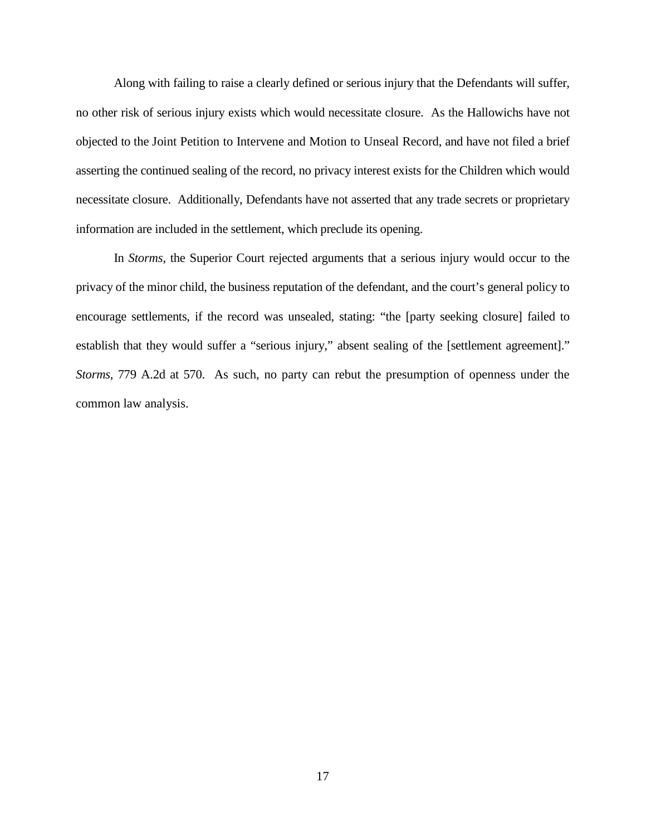Along with failing to raise a clearly defined or serious injury that the Defendants will suffer, no other risk of serious injury exists which would necessitate closure. As the Hallowichs have not objected to the Joint Petition to Intervene and Motion to Unseal Record, and have not filed a brief asserting the continued sealing of the record, no privacy interest exists for the Children which would necessitate closure. Additionally, Defendants have not asserted that any trade secrets or proprietary information are included in the settlement, which preclude its opening.

In *Storms*, the Superior Court rejected arguments that a serious injury would occur to the privacy of the minor child, the business reputation of the defendant, and the court's general policy to encourage settlements, if the record was unsealed, stating: "the [party seeking closure] failed to establish that they would suffer a "serious injury," absent sealing of the [settlement agreement]." *Storms*, 779 A.2d at 570. As such, no party can rebut the presumption of openness under the common law analysis.